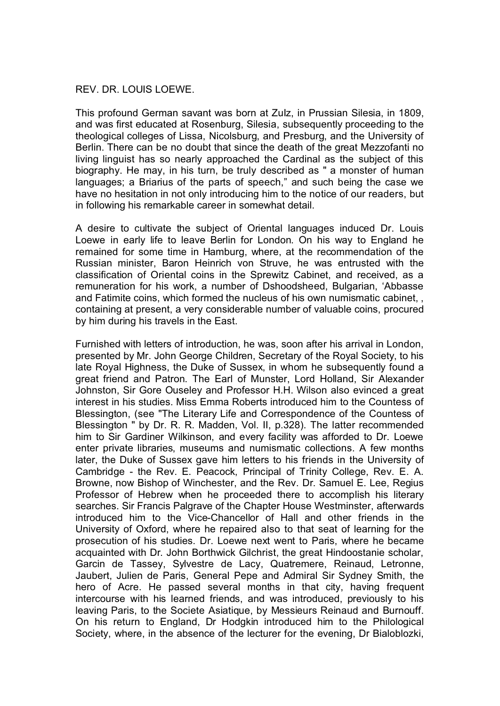## REV. DR. LOUIS LOEWE.

This profound German savant was born at ZuIz, in Prussian Silesia, in 1809, and was first educated at Rosenburg, Silesia, subsequently proceeding to the theological colleges of Lissa, Nicolsburg, and Presburg, and the University of Berlin. There can be no doubt that since the death of the great Mezzofanti no living linguist has so nearly approached the Cardinal as the subject of this biography. He may, in his turn, be truly described as " a monster of human languages; a Briarius of the parts of speech," and such being the case we have no hesitation in not only introducing him to the notice of our readers, but in following his remarkable career in somewhat detail.

A desire to cultivate the subject of Oriental languages induced Dr. Louis Loewe in early life to leave Berlin for London. On his way to England he remained for some time in Hamburg, where, at the recommendation of the Russian minister, Baron Heinrich von Struve, he was entrusted with the classification of Oriental coins in the Sprewitz Cabinet, and received, as a remuneration for his work, a number of Dshoodsheed, Bulgarian, 'Abbasse and Fatimite coins, which formed the nucleus of his own numismatic cabinet, , containing at present, a very considerable number of valuable coins, procured by him during his travels in the East.

Furnished with letters of introduction, he was, soon after his arrival in London, presented by Mr. John George Children, Secretary of the Royal Society, to his late Royal Highness, the Duke of Sussex, in whom he subsequently found a great friend and Patron. The Earl of Munster, Lord Holland, Sir Alexander Johnston, Sir Gore Ouseley and Professor H.H. Wilson also evinced a great interest in his studies. Miss Emma Roberts introduced him to the Countess of Blessington, (see "The Literary Life and Correspondence of the Countess of Blessington " by Dr. R. R. Madden, Vol. II, p.328). The latter recommended him to Sir Gardiner Wilkinson, and every facility was afforded to Dr. Loewe enter private libraries, museums and numismatic collections. A few months later, the Duke of Sussex gave him letters to his friends in the University of Cambridge - the Rev. E. Peacock, Principal of Trinity College, Rev. E. A. Browne, now Bishop of Winchester, and the Rev. Dr. Samuel E. Lee, Regius Professor of Hebrew when he proceeded there to accomplish his literary searches. Sir Francis Palgrave of the Chapter House Westminster, afterwards introduced him to the Vice-Chancellor of Hall and other friends in the University of Oxford, where he repaired also to that seat of learning for the prosecution of his studies. Dr. Loewe next went to Paris, where he became acquainted with Dr. John Borthwick Gilchrist, the great Hindoostanie scholar, Garcin de Tassey, Sylvestre de Lacy, Quatremere, Reinaud, Letronne, Jaubert, Julien de Paris, General Pepe and Admiral Sir Sydney Smith, the hero of Acre. He passed several months in that city, having frequent intercourse with his learned friends, and was introduced, previously to his leaving Paris, to the Societe Asiatique, by Messieurs Reinaud and Burnouff. On his return to England, Dr Hodgkin introduced him to the Philological Society, where, in the absence of the lecturer for the evening, Dr Bialoblozki,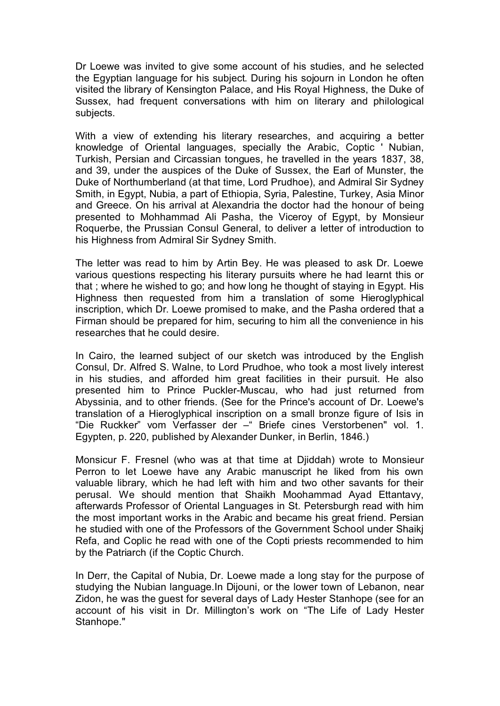Dr Loewe was invited to give some account of his studies, and he selected the Egyptian language for his subject. During his sojourn in London he often visited the library of Kensington Palace, and His Royal Highness, the Duke of Sussex, had frequent conversations with him on literary and philological subjects.

With a view of extending his literary researches, and acquiring a better knowledge of Oriental languages, specially the Arabic, Coptic ' Nubian, Turkish, Persian and Circassian tongues, he travelled in the years 1837, 38, and 39, under the auspices of the Duke of Sussex, the Earl of Munster, the Duke of Northumberland (at that time, Lord Prudhoe), and Admiral Sir Sydney Smith, in Egypt, Nubia, a part of Ethiopia, Syria, Palestine, Turkey, Asia Minor and Greece. On his arrival at Alexandria the doctor had the honour of being presented to Mohhammad Ali Pasha, the Viceroy of Egypt, by Monsieur Roquerbe, the Prussian Consul General, to deliver a letter of introduction to his Highness from Admiral Sir Sydney Smith.

The letter was read to him by Artin Bey. He was pleased to ask Dr. Loewe various questions respecting his literary pursuits where he had learnt this or that ; where he wished to go; and how long he thought of staying in Egypt. His Highness then requested from him a translation of some Hieroglyphical inscription, which Dr. Loewe promised to make, and the Pasha ordered that a Firman should be prepared for him, securing to him all the convenience in his researches that he could desire.

In Cairo, the learned subject of our sketch was introduced by the English Consul, Dr. Alfred S. Walne, to Lord Prudhoe, who took a most lively interest in his studies, and afforded him great facilities in their pursuit. He also presented him to Prince Puckler-Muscau, who had just returned from Abyssinia, and to other friends. (See for the Prince's account of Dr. Loewe's translation of a Hieroglyphical inscription on a small bronze figure of Isis in "Die Ruckker" vom Verfasser der –" Briefe cines Verstorbenen" vol. 1. Egypten, p. 220, published by Alexander Dunker, in Berlin, 1846.)

Monsicur F. Fresnel (who was at that time at Djiddah) wrote to Monsieur Perron to let Loewe have any Arabic manuscript he liked from his own valuable library, which he had left with him and two other savants for their perusal. We should mention that Shaikh Moohammad Ayad Ettantavy, afterwards Professor of Oriental Languages in St. Petersburgh read with him the most important works in the Arabic and became his great friend. Persian he studied with one of the Professors of the Government School under Shaikj Refa, and Coplic he read with one of the Copti priests recommended to him by the Patriarch (if the Coptic Church.

In Derr, the Capital of Nubia, Dr. Loewe made a long stay for the purpose of studying the Nubian language.In Dijouni, or the lower town of Lebanon, near Zidon, he was the guest for several days of Lady Hester Stanhope (see for an account of his visit in Dr. Millington's work on "The Life of Lady Hester Stanhope."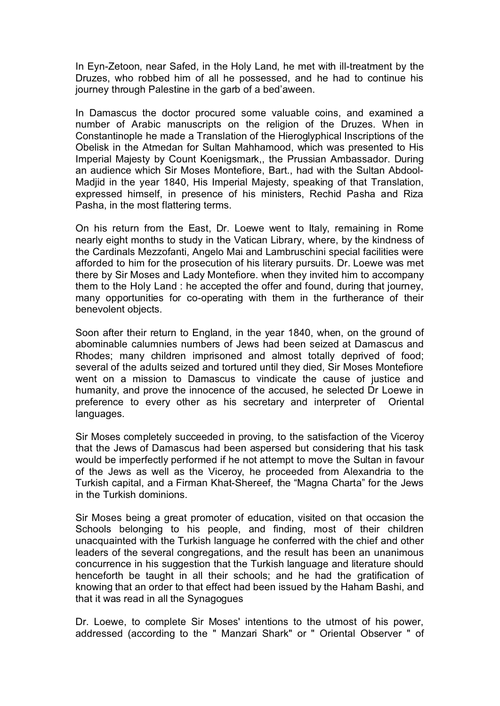In Eyn-Zetoon, near Safed, in the Holy Land, he met with ill-treatment by the Druzes, who robbed him of all he possessed, and he had to continue his journey through Palestine in the garb of a bed'aween.

In Damascus the doctor procured some valuable coins, and examined a number of Arabic manuscripts on the religion of the Druzes. When in Constantinople he made a Translation of the Hieroglyphical Inscriptions of the Obelisk in the Atmedan for Sultan Mahhamood, which was presented to His Imperial Majesty by Count Koenigsmark,, the Prussian Ambassador. During an audience which Sir Moses Montefiore, Bart., had with the Sultan Abdool-Madjid in the year 1840, His Imperial Majesty, speaking of that Translation, expressed himself, in presence of his ministers, Rechid Pasha and Riza Pasha, in the most flattering terms.

On his return from the East, Dr. Loewe went to Italy, remaining in Rome nearly eight months to study in the Vatican Library, where, by the kindness of the Cardinals Mezzofanti, Angelo Mai and Lambruschini special facilities were afforded to him for the prosecution of his literary pursuits. Dr. Loewe was met there by Sir Moses and Lady Montefiore. when they invited him to accompany them to the Holy Land : he accepted the offer and found, during that journey, many opportunities for co-operating with them in the furtherance of their benevolent objects.

Soon after their return to England, in the year 1840, when, on the ground of abominable calumnies numbers of Jews had been seized at Damascus and Rhodes; many children imprisoned and almost totally deprived of food; several of the adults seized and tortured until they died, Sir Moses Montefiore went on a mission to Damascus to vindicate the cause of justice and humanity, and prove the innocence of the accused, he selected Dr Loewe in preference to every other as his secretary and interpreter of Oriental languages.

Sir Moses completely succeeded in proving, to the satisfaction of the Viceroy that the Jews of Damascus had been aspersed but considering that his task would be imperfectly performed if he not attempt to move the Sultan in favour of the Jews as well as the Viceroy, he proceeded from Alexandria to the Turkish capital, and a Firman Khat-Shereef, the "Magna Charta" for the Jews in the Turkish dominions.

Sir Moses being a great promoter of education, visited on that occasion the Schools belonging to his people, and finding, most of their children unacquainted with the Turkish language he conferred with the chief and other leaders of the several congregations, and the result has been an unanimous concurrence in his suggestion that the Turkish language and literature should henceforth be taught in all their schools; and he had the gratification of knowing that an order to that effect had been issued by the Haham Bashi, and that it was read in all the Synagogues

Dr. Loewe, to complete Sir Moses' intentions to the utmost of his power, addressed (according to the " Manzari Shark" or " Oriental Observer " of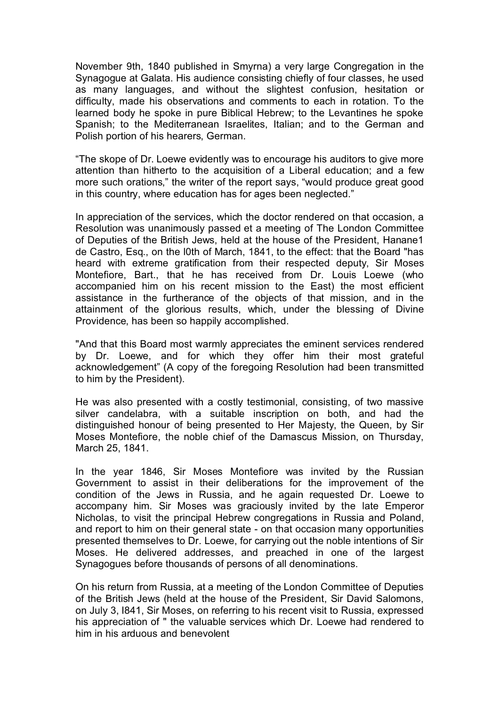November 9th, 1840 published in Smyrna) a very large Congregation in the Synagogue at Galata. His audience consisting chiefly of four classes, he used as many languages, and without the slightest confusion, hesitation or difficulty, made his observations and comments to each in rotation. To the learned body he spoke in pure Biblical Hebrew; to the Levantines he spoke Spanish; to the Mediterranean Israelites, Italian; and to the German and Polish portion of his hearers, German.

"The skope of Dr. Loewe evidently was to encourage his auditors to give more attention than hitherto to the acquisition of a Liberal education; and a few more such orations," the writer of the report says, "would produce great good in this country, where education has for ages been neglected."

In appreciation of the services, which the doctor rendered on that occasion, a Resolution was unanimously passed et a meeting of The London Committee of Deputies of the British Jews, held at the house of the President, Hanane1 de Castro, Esq., on the l0th of March, 1841, to the effect: that the Board "has heard with extreme gratification from their respected deputy, Sir Moses Montefiore, Bart., that he has received from Dr. Louis Loewe (who accompanied him on his recent mission to the East) the most efficient assistance in the furtherance of the objects of that mission, and in the attainment of the glorious results, which, under the blessing of Divine Providence, has been so happily accomplished.

"And that this Board most warmly appreciates the eminent services rendered by Dr. Loewe, and for which they offer him their most grateful acknowledgement" (A copy of the foregoing Resolution had been transmitted to him by the President).

He was also presented with a costly testimonial, consisting, of two massive silver candelabra, with a suitable inscription on both, and had the distinguished honour of being presented to Her Majesty, the Queen, by Sir Moses Montefiore, the noble chief of the Damascus Mission, on Thursday, March 25, 1841.

In the year 1846, Sir Moses Montefiore was invited by the Russian Government to assist in their deliberations for the improvement of the condition of the Jews in Russia, and he again requested Dr. Loewe to accompany him. Sir Moses was graciously invited by the late Emperor Nicholas, to visit the principal Hebrew congregations in Russia and Poland, and report to him on their general state - on that occasion many opportunities presented themselves to Dr. Loewe, for carrying out the noble intentions of Sir Moses. He delivered addresses, and preached in one of the largest Synagogues before thousands of persons of all denominations.

On his return from Russia, at a meeting of the London Committee of Deputies of the British Jews (held at the house of the President, Sir David Salomons, on July 3, I841, Sir Moses, on referring to his recent visit to Russia, expressed his appreciation of " the valuable services which Dr. Loewe had rendered to him in his arduous and benevolent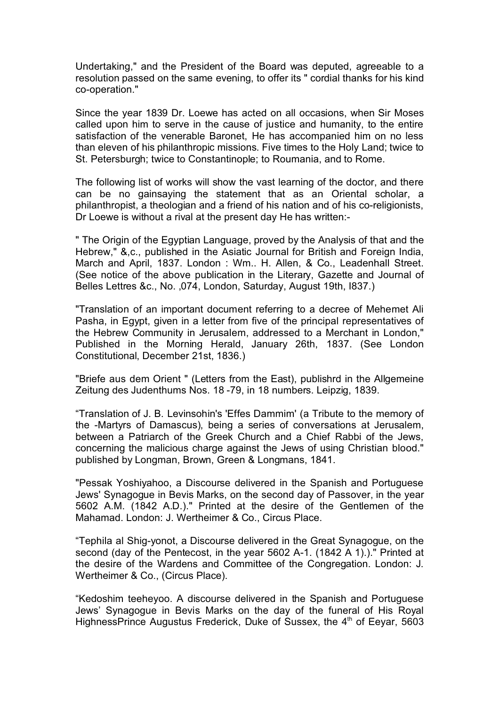Undertaking," and the President of the Board was deputed, agreeable to a resolution passed on the same evening, to offer its " cordial thanks for his kind co-operation."

Since the year 1839 Dr. Loewe has acted on all occasions, when Sir Moses called upon him to serve in the cause of justice and humanity, to the entire satisfaction of the venerable Baronet, He has accompanied him on no less than eleven of his philanthropic missions. Five times to the Holy Land; twice to St. Petersburgh; twice to Constantinople; to Roumania, and to Rome.

The following list of works will show the vast learning of the doctor, and there can be no gainsaying the statement that as an Oriental scholar, a philanthropist, a theologian and a friend of his nation and of his co-religionists, Dr Loewe is without a rival at the present day He has written:-

" The Origin of the Egyptian Language, proved by the Analysis of that and the Hebrew," &,c., published in the Asiatic Journal for British and Foreign India, March and April, 1837. London : Wm.. H. Allen, & Co., Leadenhall Street. (See notice of the above publication in the Literary, Gazette and Journal of Belles Lettres &c., No. ,074, London, Saturday, August 19th, I837.)

"Translation of an important document referring to a decree of Mehemet Ali Pasha, in Egypt, given in a letter from five of the principal representatives of the Hebrew Community in Jerusalem, addressed to a Merchant in London," Published in the Morning Herald, January 26th, 1837. (See London Constitutional, December 21st, 1836.)

"Briefe aus dem Orient " (Letters from the East), publishrd in the Allgemeine Zeitung des Judenthums Nos. 18 -79, in 18 numbers. Leipzig, 1839.

"Translation of J. B. Levinsohin's 'Effes Dammim' (a Tribute to the memory of the -Martyrs of Damascus), being a series of conversations at Jerusalem, between a Patriarch of the Greek Church and a Chief Rabbi of the Jews, concerning the malicious charge against the Jews of using Christian blood." published by Longman, Brown, Green & Longmans, 1841.

"Pessak Yoshiyahoo, a Discourse delivered in the Spanish and Portuguese Jews' Synagogue in Bevis Marks, on the second day of Passover, in the year 5602 A.M. (1842 A.D.)." Printed at the desire of the Gentlemen of the Mahamad. London: J. Wertheimer & Co., Circus Place.

"Tephila al Shig-yonot, a Discourse delivered in the Great Synagogue, on the second (day of the Pentecost, in the year 5602 A-1. (1842 A 1).)." Printed at the desire of the Wardens and Committee of the Congregation. London: J. Wertheimer & Co., (Circus Place).

"Kedoshim teeheyoo. A discourse delivered in the Spanish and Portuguese Jews' Synagogue in Bevis Marks on the day of the funeral of His Royal HighnessPrince Augustus Frederick, Duke of Sussex, the 4<sup>th</sup> of Eeyar, 5603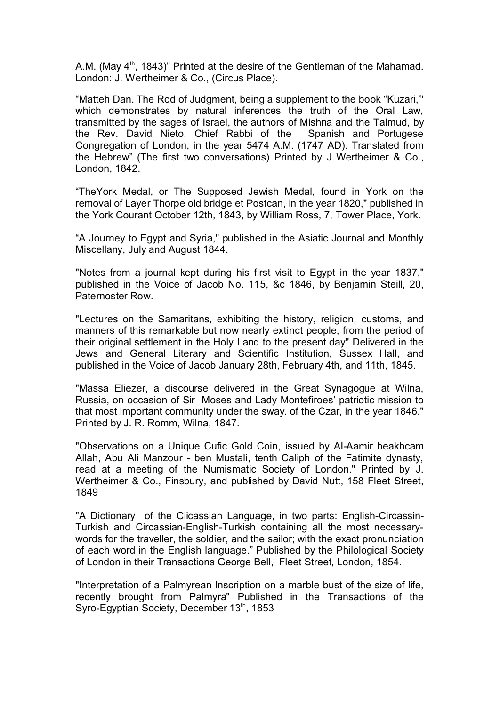A.M. (May  $4<sup>th</sup>$ , 1843)" Printed at the desire of the Gentleman of the Mahamad. London: J. Wertheimer & Co., (Circus Place).

"Matteh Dan. The Rod of Judgment, being a supplement to the book "Kuzari,"' which demonstrates by natural inferences the truth of the Oral Law, transmitted by the sages of Israel, the authors of Mishna and the Talmud, by the Rev. David Nieto, Chief Rabbi of the Spanish and Portugese Congregation of London, in the year 5474 A.M. (1747 AD). Translated from the Hebrew" (The first two conversations) Printed by J Wertheimer & Co., London, 1842.

"TheYork Medal, or The Supposed Jewish Medal, found in York on the removal of Layer Thorpe old bridge et Postcan, in the year 1820," published in the York Courant October 12th, 1843, by William Ross, 7, Tower Place, York.

"A Journey to Egypt and Syria," published in the Asiatic Journal and Monthly Miscellany, July and August 1844.

"Notes from a journal kept during his first visit to Egypt in the year 1837," published in the Voice of Jacob No. 115, &c 1846, by Benjamin Steill, 20, Paternoster Row.

"Lectures on the Samaritans, exhibiting the history, religion, customs, and manners of this remarkable but now nearly extinct people, from the period of their original settlement in the Holy Land to the present day" Delivered in the Jews and General Literary and Scientific Institution, Sussex Hall, and published in the Voice of Jacob January 28th, February 4th, and 11th, 1845.

"Massa Eliezer, a discourse delivered in the Great Synagogue at Wilna, Russia, on occasion of Sir Moses and Lady Montefiroes' patriotic mission to that most important community under the sway. of the Czar, in the year 1846." Printed by J. R. Romm, Wilna, 1847.

"Observations on a Unique Cufic Gold Coin, issued by AI-Aamir beakhcam Allah, Abu Ali Manzour - ben Mustali, tenth Caliph of the Fatimite dynasty, read at a meeting of the Numismatic Society of London." Printed by J. Wertheimer & Co., Finsbury, and published by David Nutt, 158 Fleet Street, 1849

"A Dictionary of the Ciicassian Language, in two parts: English-Circassin-Turkish and Circassian-English-Turkish containing all the most necessarywords for the traveller, the soldier, and the sailor; with the exact pronunciation of each word in the English language." Published by the Philological Society of London in their Transactions George Bell, Fleet Street, London, 1854.

"Interpretation of a Palmyrean Inscription on a marble bust of the size of life, recently brought from Palmyra" Published in the Transactions of the Syro-Egyptian Society, December 13<sup>th</sup>, 1853